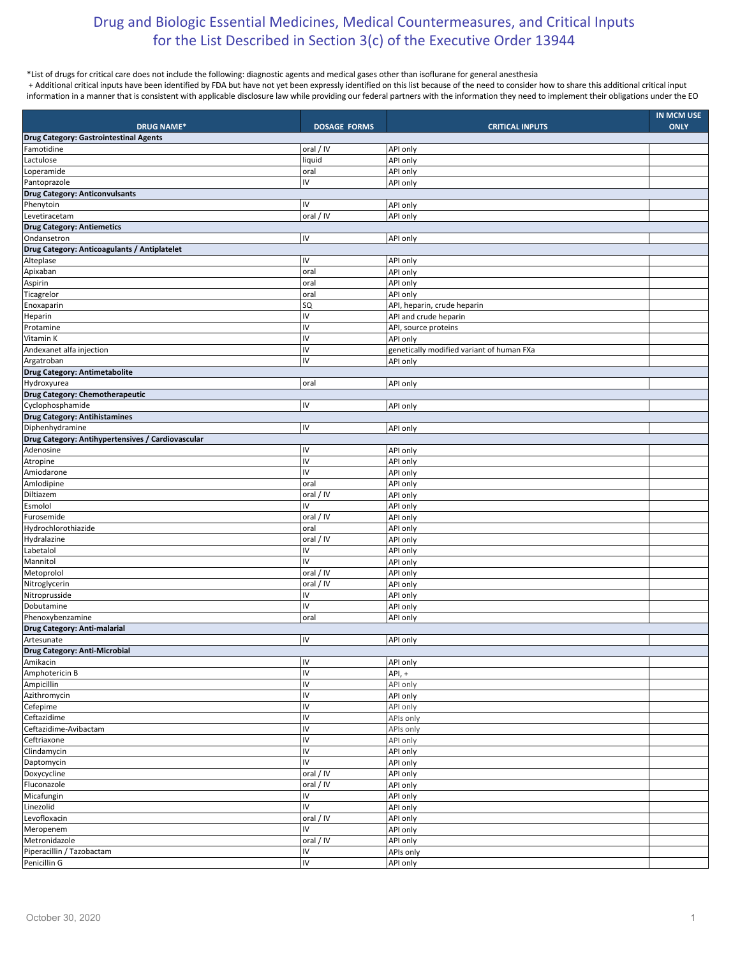## Drug and Biologic Essential Medicines, Medical Countermeasures, and Critical Inputs for the List Described in Section 3(c) of the Executive Order 13944

## \*List of drugs for critical care does not include the following: diagnostic agents and medical gases other than isoflurane for general anesthesia

+ Additional critical inputs have been identified by FDA but have not yet been expressly identified on this list because of the need to consider how to share this additional critical input information in a manner that is consistent with applicable disclosure law while providing our federal partners with the information they need to implement their obligations under the EO

| <b>DRUG NAME*</b>                                 | <b>DOSAGE FORMS</b>    | <b>CRITICAL INPUTS</b>                    | IN MCM USE<br><b>ONLY</b> |
|---------------------------------------------------|------------------------|-------------------------------------------|---------------------------|
| Drug Category: Gastrointestinal Agents            |                        |                                           |                           |
| Famotidine                                        | oral / IV              | API only                                  |                           |
| Lactulose                                         | liquid                 | API only                                  |                           |
| Loperamide                                        | oral                   | API only                                  |                           |
| Pantoprazole                                      | IV                     | API only                                  |                           |
| <b>Drug Category: Anticonvulsants</b>             |                        |                                           |                           |
| Phenytoin                                         | IV                     | API only                                  |                           |
| Levetiracetam                                     | oral / IV              | API only                                  |                           |
| <b>Drug Category: Antiemetics</b>                 |                        |                                           |                           |
| Ondansetron                                       | IV                     | API only                                  |                           |
| Drug Category: Anticoagulants / Antiplatelet      |                        |                                           |                           |
| Alteplase                                         | IV                     | API only                                  |                           |
| Apixaban                                          | oral                   | API only                                  |                           |
| Aspirin                                           | oral                   | API only                                  |                           |
| Ticagrelor                                        | oral                   | API only                                  |                           |
| Enoxaparin                                        | SQ                     | API, heparin, crude heparin               |                           |
| Heparin                                           | IV                     | API and crude heparin                     |                           |
| Protamine                                         | IV                     | API, source proteins                      |                           |
| Vitamin K                                         | IV                     | API only                                  |                           |
| Andexanet alfa injection                          | IV                     | genetically modified variant of human FXa |                           |
| Argatroban                                        | IV                     | API only                                  |                           |
| Drug Category: Antimetabolite                     |                        |                                           |                           |
| Hydroxyurea                                       | oral                   | API only                                  |                           |
| Drug Category: Chemotherapeutic                   |                        |                                           |                           |
| Cyclophosphamide                                  | IV                     | API only                                  |                           |
| <b>Drug Category: Antihistamines</b>              |                        |                                           |                           |
| Diphenhydramine                                   | IV                     | API only                                  |                           |
| Drug Category: Antihypertensives / Cardiovascular |                        |                                           |                           |
| Adenosine                                         | IV                     | API only                                  |                           |
| Atropine                                          | IV                     | API only                                  |                           |
| Amiodarone                                        | IV                     | <b>API only</b>                           |                           |
| Amlodipine                                        | oral                   | API only                                  |                           |
| Diltiazem                                         | oral / IV              | API only                                  |                           |
| Esmolol                                           | IV                     | API only                                  |                           |
| Furosemide                                        | oral / IV              | API only                                  |                           |
| Hydrochlorothiazide                               | oral                   | API only                                  |                           |
| Hydralazine                                       | oral / IV              | API only                                  |                           |
| Labetalol                                         | IV                     | API only                                  |                           |
| Mannitol                                          | IV                     | API only                                  |                           |
| Metoprolol                                        | oral / IV              | API only                                  |                           |
| Nitroglycerin                                     | oral / IV              | API only                                  |                           |
| Nitroprusside                                     | IV                     | API only                                  |                           |
| Dobutamine                                        | IV                     | API only                                  |                           |
| Phenoxybenzamine                                  | oral                   | API only                                  |                           |
| Drug Category: Anti-malarial                      |                        |                                           |                           |
| Artesunate                                        | IV                     | API only                                  |                           |
| Drug Category: Anti-Microbial                     |                        |                                           |                           |
| Amikacin                                          | IV                     | API only                                  |                           |
| Amphotericin B                                    | IV                     | API, +                                    |                           |
| Ampicillin                                        | IV                     | API only                                  |                           |
| Azithromycin                                      | IV                     | API only                                  |                           |
| Cefepime                                          | IV                     | API only                                  |                           |
| Ceftazidime                                       | IV                     | APIs only                                 |                           |
| Ceftazidime-Avibactam                             | IV                     | APIs only                                 |                           |
| Ceftriaxone                                       | IV                     | API only                                  |                           |
| Clindamycin                                       | IV                     | API only                                  |                           |
| Daptomycin                                        | IV                     | API only                                  |                           |
| Doxycycline                                       | $\overline{oral / IV}$ | API only                                  |                           |
| Fluconazole                                       | oral / IV              | API only                                  |                           |
| Micafungin                                        | IV                     | API only                                  |                           |
| Linezolid                                         | IV                     | API only                                  |                           |
| Levofloxacin                                      | oral / IV              | API only                                  |                           |
| Meropenem                                         | IV                     | API only                                  |                           |
| Metronidazole                                     | oral / IV              | API only                                  |                           |
| Piperacillin / Tazobactam                         | IV                     | APIs only                                 |                           |
| Penicillin G                                      | IV                     | API only                                  |                           |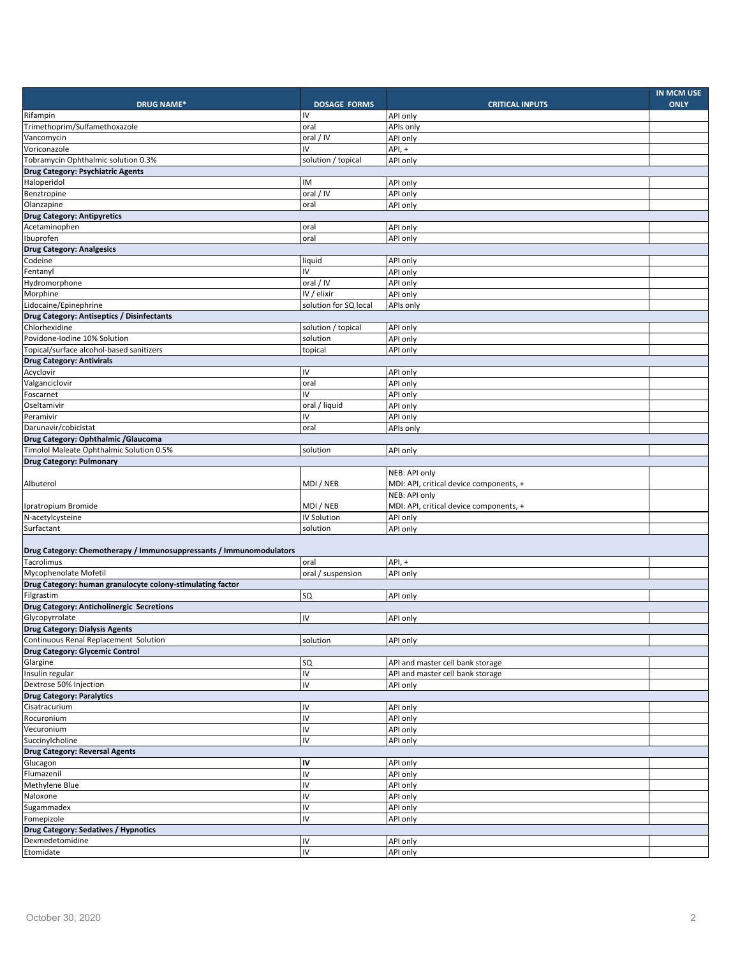| <b>DRUG NAME*</b>                                                   | <b>DOSAGE FORMS</b>   | <b>CRITICAL INPUTS</b>                                   | <b>IN MCM USE</b><br><b>ONLY</b> |  |
|---------------------------------------------------------------------|-----------------------|----------------------------------------------------------|----------------------------------|--|
| Rifampin                                                            | IV                    | API only                                                 |                                  |  |
| Trimethoprim/Sulfamethoxazole                                       | oral                  | APIs only                                                |                                  |  |
| Vancomycin                                                          | oral / IV             | API only                                                 |                                  |  |
| Voriconazole                                                        | IV                    | API, +                                                   |                                  |  |
| Tobramycin Ophthalmic solution 0.3%                                 | solution / topical    | API only                                                 |                                  |  |
| Drug Category: Psychiatric Agents                                   |                       |                                                          |                                  |  |
| Haloperidol                                                         | IM                    | API only                                                 |                                  |  |
| Benztropine                                                         | oral / IV             | API only                                                 |                                  |  |
| Olanzapine                                                          | oral                  | API only                                                 |                                  |  |
| <b>Drug Category: Antipyretics</b>                                  |                       |                                                          |                                  |  |
| Acetaminophen                                                       | oral                  | API only                                                 |                                  |  |
| Ibuprofen                                                           | oral                  | API only                                                 |                                  |  |
| <b>Drug Category: Analgesics</b>                                    |                       |                                                          |                                  |  |
| Codeine                                                             | liquid                | API only                                                 |                                  |  |
| Fentanyl                                                            | IV                    | API only                                                 |                                  |  |
| Hydromorphone                                                       | oral / IV             | API only                                                 |                                  |  |
| Morphine                                                            | IV / elixir           | API only                                                 |                                  |  |
| Lidocaine/Epinephrine                                               | solution for SQ local | APIs only                                                |                                  |  |
| Drug Category: Antiseptics / Disinfectants                          |                       |                                                          |                                  |  |
| Chlorhexidine                                                       | solution / topical    | API only                                                 |                                  |  |
| Povidone-Iodine 10% Solution                                        | solution              | <b>API only</b>                                          |                                  |  |
| Topical/surface alcohol-based sanitizers                            | topical               | API only                                                 |                                  |  |
| <b>Drug Category: Antivirals</b>                                    |                       |                                                          |                                  |  |
| Acyclovir                                                           | IV                    | API only                                                 |                                  |  |
| Valganciclovir                                                      | oral                  | API only                                                 |                                  |  |
| Foscarnet                                                           | IV                    | API only                                                 |                                  |  |
| Oseltamivir                                                         | oral / liquid         | API only                                                 |                                  |  |
| Peramivir                                                           | IV                    | API only                                                 |                                  |  |
| Darunavir/cobicistat                                                | oral                  | APIs only                                                |                                  |  |
| Drug Category: Ophthalmic / Glaucoma                                |                       |                                                          |                                  |  |
| Timolol Maleate Ophthalmic Solution 0.5%                            | solution              | API only                                                 |                                  |  |
| <b>Drug Category: Pulmonary</b>                                     |                       |                                                          |                                  |  |
| Albuterol                                                           | MDI / NEB             | NEB: API only<br>MDI: API, critical device components, + |                                  |  |
|                                                                     |                       | NEB: API only                                            |                                  |  |
| Ipratropium Bromide                                                 | MDI / NEB             | MDI: API, critical device components, +                  |                                  |  |
| N-acetylcysteine                                                    | IV Solution           | API only                                                 |                                  |  |
| Surfactant                                                          | solution              | API only                                                 |                                  |  |
|                                                                     |                       |                                                          |                                  |  |
| Drug Category: Chemotherapy / Immunosuppressants / Immunomodulators |                       |                                                          |                                  |  |
| Tacrolimus                                                          | oral                  | API, +                                                   |                                  |  |
| Mycophenolate Mofetil                                               | oral / suspension     | API only                                                 |                                  |  |
| Drug Category: human granulocyte colony-stimulating factor          |                       |                                                          |                                  |  |
| Filgrastim                                                          | SQ                    | API only                                                 |                                  |  |
| Drug Category: Anticholinergic Secretions                           |                       |                                                          |                                  |  |
| Glycopyrrolate                                                      | IV                    | API only                                                 |                                  |  |
| <b>Drug Category: Dialysis Agents</b>                               |                       |                                                          |                                  |  |
| Continuous Renal Replacement Solution                               | solution              | API only                                                 |                                  |  |
| <b>Drug Category: Glycemic Control</b>                              |                       |                                                          |                                  |  |
| Glargine                                                            | SQ                    | API and master cell bank storage                         |                                  |  |
| Insulin regular                                                     | IV                    | API and master cell bank storage                         |                                  |  |
| Dextrose 50% Injection                                              | IV                    | API only                                                 |                                  |  |
| <b>Drug Category: Paralytics</b><br>Cisatracurium                   | IV                    |                                                          |                                  |  |
| Rocuronium                                                          | <b>IV</b>             | API only<br>API only                                     |                                  |  |
| Vecuronium                                                          | IV                    | API only                                                 |                                  |  |
| Succinylcholine                                                     | IV                    | API only                                                 |                                  |  |
| <b>Drug Category: Reversal Agents</b>                               |                       |                                                          |                                  |  |
| Glucagon                                                            | IV                    | API only                                                 |                                  |  |
| Flumazenil                                                          | IV                    | API only                                                 |                                  |  |
| Methylene Blue                                                      | IV                    | API only                                                 |                                  |  |
| Naloxone                                                            | IV                    | API only                                                 |                                  |  |
| Sugammadex                                                          | IV                    | API only                                                 |                                  |  |
| Fomepizole                                                          | IV                    | API only                                                 |                                  |  |
| Drug Category: Sedatives / Hypnotics                                |                       |                                                          |                                  |  |
| Dexmedetomidine                                                     | IV                    | API only                                                 |                                  |  |
| Etomidate                                                           | <b>N</b>              | API only                                                 |                                  |  |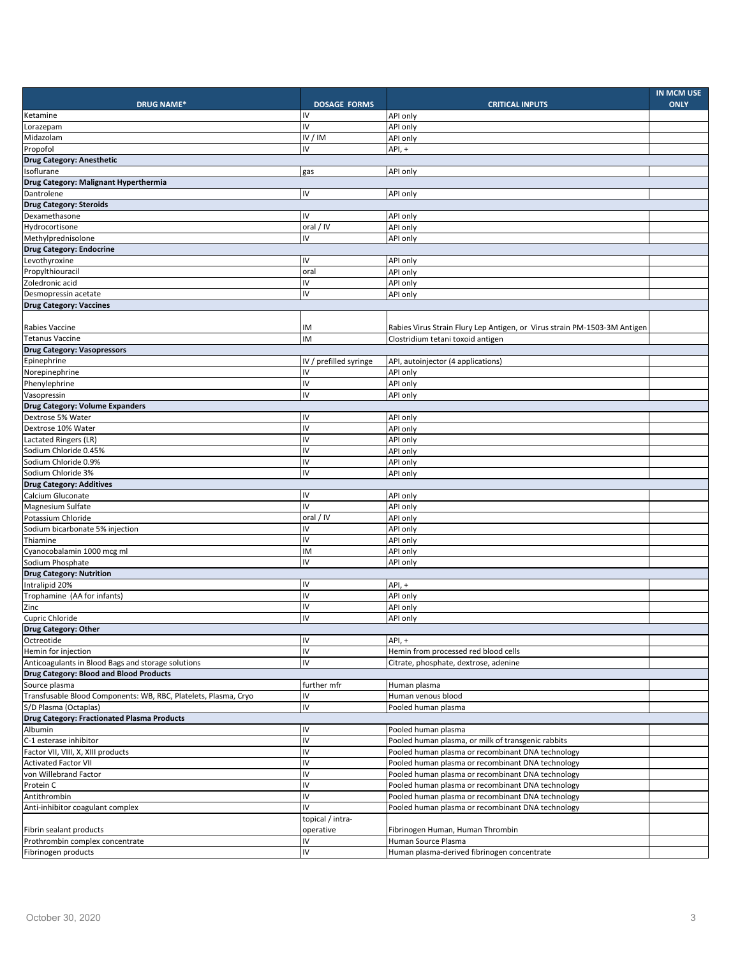| <b>DRUG NAME*</b>                                               | <b>DOSAGE FORMS</b>    |                      | <b>CRITICAL INPUTS</b>                                                    | IN MCM USE<br><b>ONLY</b> |
|-----------------------------------------------------------------|------------------------|----------------------|---------------------------------------------------------------------------|---------------------------|
| Ketamine                                                        | IV                     | API only             |                                                                           |                           |
| Lorazepam                                                       | IV                     | API only             |                                                                           |                           |
| Midazolam                                                       | IV / IM                | API only             |                                                                           |                           |
| Propofol                                                        | IV                     | API, +               |                                                                           |                           |
| <b>Drug Category: Anesthetic</b>                                |                        |                      |                                                                           |                           |
| Isoflurane                                                      | gas                    | API only             |                                                                           |                           |
| Drug Category: Malignant Hyperthermia                           |                        |                      |                                                                           |                           |
| Dantrolene                                                      | IV                     | API only             |                                                                           |                           |
| <b>Drug Category: Steroids</b>                                  |                        |                      |                                                                           |                           |
| Dexamethasone                                                   | IV                     | API only             |                                                                           |                           |
| Hydrocortisone                                                  | oral / IV              | API only             |                                                                           |                           |
| Methylprednisolone                                              | IV                     | API only             |                                                                           |                           |
| <b>Drug Category: Endocrine</b>                                 |                        |                      |                                                                           |                           |
| Levothyroxine<br>Propylthiouracil                               | IV                     | API only             |                                                                           |                           |
|                                                                 | oral<br>IV             | API only             |                                                                           |                           |
| Zoledronic acid                                                 | IV                     | API only<br>API only |                                                                           |                           |
| Desmopressin acetate<br><b>Drug Category: Vaccines</b>          |                        |                      |                                                                           |                           |
|                                                                 |                        |                      |                                                                           |                           |
| <b>Rabies Vaccine</b>                                           | ΙM                     |                      | Rabies Virus Strain Flury Lep Antigen, or Virus strain PM-1503-3M Antigen |                           |
| <b>Tetanus Vaccine</b>                                          | IM                     |                      | Clostridium tetani toxoid antigen                                         |                           |
| <b>Drug Category: Vasopressors</b>                              |                        |                      |                                                                           |                           |
| Epinephrine                                                     | IV / prefilled syringe |                      | API, autoinjector (4 applications)                                        |                           |
| Norepinephrine                                                  | IV                     | API only             |                                                                           |                           |
| Phenylephrine                                                   | IV                     | API only             |                                                                           |                           |
| Vasopressin                                                     | IV                     | API only             |                                                                           |                           |
| Drug Category: Volume Expanders                                 |                        |                      |                                                                           |                           |
| Dextrose 5% Water                                               | IV                     | API only             |                                                                           |                           |
| Dextrose 10% Water                                              | IV                     | API only             |                                                                           |                           |
| Lactated Ringers (LR)                                           | IV                     | API only             |                                                                           |                           |
| Sodium Chloride 0.45%                                           | IV                     | API only             |                                                                           |                           |
| Sodium Chloride 0.9%                                            | IV                     | API only             |                                                                           |                           |
| Sodium Chloride 3%                                              | IV                     | API only             |                                                                           |                           |
| <b>Drug Category: Additives</b>                                 |                        |                      |                                                                           |                           |
| Calcium Gluconate                                               | IV                     | API only             |                                                                           |                           |
| Magnesium Sulfate                                               | IV                     | API only             |                                                                           |                           |
| Potassium Chloride                                              | oral / IV              | API only             |                                                                           |                           |
| Sodium bicarbonate 5% injection                                 | IV                     | API only             |                                                                           |                           |
| Thiamine                                                        | IV                     | API only             |                                                                           |                           |
| Cyanocobalamin 1000 mcg ml                                      | IM<br>IV               | API only             |                                                                           |                           |
| Sodium Phosphate<br><b>Drug Category: Nutrition</b>             |                        | API only             |                                                                           |                           |
| Intralipid 20%                                                  | IV                     | API, +               |                                                                           |                           |
| Trophamine (AA for infants)                                     | IV                     | API only             |                                                                           |                           |
| Zinc                                                            | IV                     | API only             |                                                                           |                           |
| Cupric Chloride                                                 | IV                     | API only             |                                                                           |                           |
| Drug Category: Other                                            |                        |                      |                                                                           |                           |
| Octreotide                                                      | IV                     | $API, +$             |                                                                           |                           |
| Hemin for injection                                             | IV                     |                      | Hemin from processed red blood cells                                      |                           |
| Anticoagulants in Blood Bags and storage solutions              | IV                     |                      | Citrate, phosphate, dextrose, adenine                                     |                           |
| Drug Category: Blood and Blood Products                         |                        |                      |                                                                           |                           |
| Source plasma                                                   | further mfr            |                      | Human plasma                                                              |                           |
| Transfusable Blood Components: WB, RBC, Platelets, Plasma, Cryo | IV                     |                      | Human venous blood                                                        |                           |
| S/D Plasma (Octaplas)                                           | IV                     |                      | Pooled human plasma                                                       |                           |
| <b>Drug Category: Fractionated Plasma Products</b>              |                        |                      |                                                                           |                           |
| Albumin                                                         | IV                     |                      | Pooled human plasma                                                       |                           |
| C-1 esterase inhibitor                                          | IV                     |                      | Pooled human plasma, or milk of transgenic rabbits                        |                           |
| Factor VII, VIII, X, XIII products                              | IV                     |                      | Pooled human plasma or recombinant DNA technology                         |                           |
| <b>Activated Factor VII</b>                                     | IV                     |                      | Pooled human plasma or recombinant DNA technology                         |                           |
| von Willebrand Factor                                           | IV                     |                      | Pooled human plasma or recombinant DNA technology                         |                           |
| Protein C                                                       | IV                     |                      | Pooled human plasma or recombinant DNA technology                         |                           |
| Antithrombin                                                    | IV                     |                      | Pooled human plasma or recombinant DNA technology                         |                           |
| Anti-inhibitor coagulant complex                                | IV                     |                      | Pooled human plasma or recombinant DNA technology                         |                           |
|                                                                 | topical / intra-       |                      |                                                                           |                           |
| Fibrin sealant products                                         | operative<br>IV        |                      | Fibrinogen Human, Human Thrombin                                          |                           |
| Prothrombin complex concentrate<br>Fibrinogen products          | IV                     |                      | Human Source Plasma<br>Human plasma-derived fibrinogen concentrate        |                           |
|                                                                 |                        |                      |                                                                           |                           |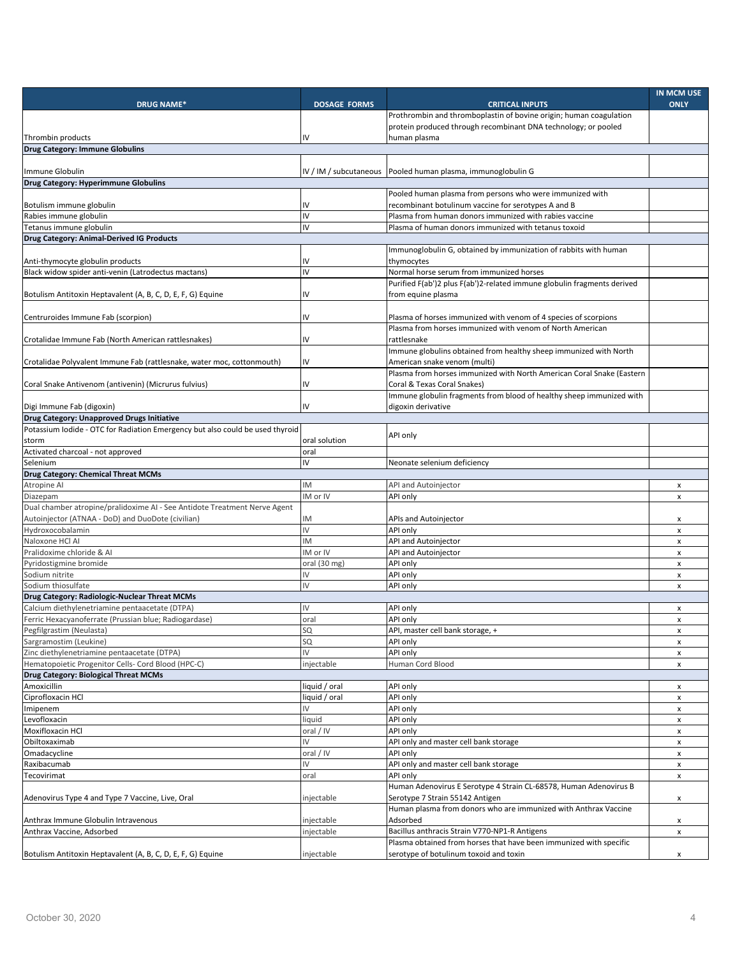| <b>DRUG NAME*</b>                                                             | <b>DOSAGE FORMS</b> | <b>CRITICAL INPUTS</b>                                                  | IN MCM USE<br><b>ONLY</b> |
|-------------------------------------------------------------------------------|---------------------|-------------------------------------------------------------------------|---------------------------|
|                                                                               |                     | Prothrombin and thromboplastin of bovine origin; human coagulation      |                           |
|                                                                               |                     | protein produced through recombinant DNA technology; or pooled          |                           |
| Thrombin products                                                             | I۷                  | human plasma                                                            |                           |
| Drug Category: Immune Globulins                                               |                     |                                                                         |                           |
|                                                                               |                     |                                                                         |                           |
| Immune Globulin                                                               |                     | IV / IM / subcutaneous   Pooled human plasma, immunoglobulin G          |                           |
| <b>Drug Category: Hyperimmune Globulins</b>                                   |                     |                                                                         |                           |
|                                                                               |                     | Pooled human plasma from persons who were immunized with                |                           |
| Botulism immune globulin                                                      | I۷                  | recombinant botulinum vaccine for serotypes A and B                     |                           |
| Rabies immune globulin                                                        | IV                  | Plasma from human donors immunized with rabies vaccine                  |                           |
| Tetanus immune globulin                                                       | IV                  | Plasma of human donors immunized with tetanus toxoid                    |                           |
| <b>Drug Category: Animal-Derived IG Products</b>                              |                     |                                                                         |                           |
|                                                                               |                     | Immunoglobulin G, obtained by immunization of rabbits with human        |                           |
| Anti-thymocyte globulin products                                              | I٧                  | thymocytes                                                              |                           |
| Black widow spider anti-venin (Latrodectus mactans)                           | IV                  | Normal horse serum from immunized horses                                |                           |
|                                                                               |                     | Purified F(ab')2 plus F(ab')2-related immune globulin fragments derived |                           |
| Botulism Antitoxin Heptavalent (A, B, C, D, E, F, G) Equine                   | I۷                  | from equine plasma                                                      |                           |
|                                                                               |                     |                                                                         |                           |
| Centruroides Immune Fab (scorpion)                                            | I۷                  | Plasma of horses immunized with venom of 4 species of scorpions         |                           |
|                                                                               |                     | Plasma from horses immunized with venom of North American               |                           |
| Crotalidae Immune Fab (North American rattlesnakes)                           | I۷                  | rattlesnake                                                             |                           |
|                                                                               |                     | Immune globulins obtained from healthy sheep immunized with North       |                           |
| Crotalidae Polyvalent Immune Fab (rattlesnake, water moc, cottonmouth)        | IV                  | American snake venom (multi)                                            |                           |
|                                                                               |                     | Plasma from horses immunized with North American Coral Snake (Eastern   |                           |
| Coral Snake Antivenom (antivenin) (Micrurus fulvius)                          | I۷                  | Coral & Texas Coral Snakes)                                             |                           |
|                                                                               |                     | Immune globulin fragments from blood of healthy sheep immunized with    |                           |
| Digi Immune Fab (digoxin)                                                     | I۷                  | digoxin derivative                                                      |                           |
| Drug Category: Unapproved Drugs Initiative                                    |                     |                                                                         |                           |
| Potassium Iodide - OTC for Radiation Emergency but also could be used thyroid |                     | API only                                                                |                           |
| storm                                                                         | oral solution       |                                                                         |                           |
| Activated charcoal - not approved                                             | oral                |                                                                         |                           |
| Selenium                                                                      | IV                  | Neonate selenium deficiency                                             |                           |
| Drug Category: Chemical Threat MCMs                                           |                     |                                                                         |                           |
| Atropine Al                                                                   | IM                  | API and Autoinjector                                                    | x                         |
| Diazepam                                                                      | IM or IV            | API only                                                                | x                         |
| Dual chamber atropine/pralidoxime AI - See Antidote Treatment Nerve Agent     |                     |                                                                         |                           |
| Autoinjector (ATNAA - DoD) and DuoDote (civilian)                             | IM                  | APIs and Autoinjector                                                   | x                         |
| Hydroxocobalamin                                                              | IV                  | API only                                                                | x                         |
| Naloxone HCl AI                                                               | IM                  | API and Autoinjector                                                    | x                         |
| Pralidoxime chloride & Al                                                     | IM or IV            | API and Autoinjector                                                    | x                         |
| Pyridostigmine bromide                                                        | oral (30 mg)        | API only                                                                | x                         |
| Sodium nitrite                                                                | IV                  | API only                                                                | x                         |
| Sodium thiosulfate                                                            | IV                  | API only                                                                | x                         |
| Drug Category: Radiologic-Nuclear Threat MCMs                                 |                     |                                                                         |                           |
| Calcium diethylenetriamine pentaacetate (DTPA)                                | IV                  | API only                                                                | x                         |
| Ferric Hexacyanoferrate (Prussian blue; Radiogardase)                         | oral                | API only                                                                | x                         |
| Pegfilgrastim (Neulasta)                                                      | SЦ                  | API, master cell bank storage, +                                        | x                         |
| Sargramostim (Leukine)                                                        | SQ                  | API only                                                                | x                         |
| Zinc diethylenetriamine pentaacetate (DTPA)                                   | IV                  | API only                                                                | x                         |
| Hematopoietic Progenitor Cells- Cord Blood (HPC-C)                            | injectable          | Human Cord Blood                                                        | x                         |
| Drug Category: Biological Threat MCMs                                         |                     |                                                                         |                           |
| Amoxicillin                                                                   | liquid / oral       | API only                                                                | x                         |
| Ciprofloxacin HCl                                                             | liquid / oral       | API only                                                                | x                         |
| Imipenem                                                                      | IV                  | API only                                                                | x                         |
| Levofloxacin                                                                  | liquid              | API only                                                                | x                         |
| Moxifloxacin HCl                                                              | oral / IV           | API only                                                                | x                         |
| Obiltoxaximab                                                                 | IV                  | API only and master cell bank storage                                   | x                         |
| Omadacycline                                                                  | oral / IV           | API only                                                                | x                         |
| Raxibacumab                                                                   | IV                  | API only and master cell bank storage                                   | x                         |
| Tecovirimat                                                                   | oral                | API only                                                                | x                         |
|                                                                               |                     | Human Adenovirus E Serotype 4 Strain CL-68578, Human Adenovirus B       |                           |
| Adenovirus Type 4 and Type 7 Vaccine, Live, Oral                              | injectable          | Serotype 7 Strain 55142 Antigen                                         | x                         |
|                                                                               |                     | Human plasma from donors who are immunized with Anthrax Vaccine         |                           |
| Anthrax Immune Globulin Intravenous                                           | injectable          | Adsorbed                                                                | x                         |
| Anthrax Vaccine, Adsorbed                                                     | injectable          | Bacillus anthracis Strain V770-NP1-R Antigens                           | x                         |
|                                                                               |                     | Plasma obtained from horses that have been immunized with specific      |                           |
| Botulism Antitoxin Heptavalent (A, B, C, D, E, F, G) Equine                   | injectable          | serotype of botulinum toxoid and toxin                                  | x                         |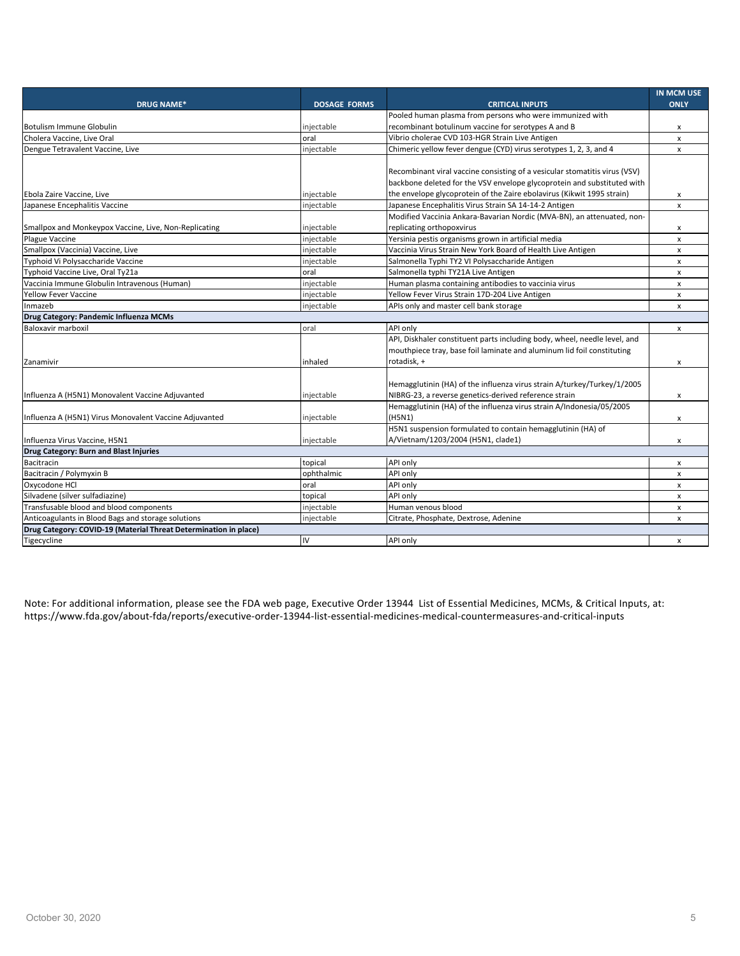|                                                                  |                     |                                                                            | <b>IN MCM USE</b> |
|------------------------------------------------------------------|---------------------|----------------------------------------------------------------------------|-------------------|
| <b>DRUG NAME*</b>                                                | <b>DOSAGE FORMS</b> | <b>CRITICAL INPUTS</b>                                                     | <b>ONLY</b>       |
|                                                                  |                     | Pooled human plasma from persons who were immunized with                   |                   |
| <b>Botulism Immune Globulin</b>                                  | injectable          | recombinant botulinum vaccine for serotypes A and B                        | x                 |
| Cholera Vaccine, Live Oral                                       | oral                | Vibrio cholerae CVD 103-HGR Strain Live Antigen                            | $\mathbf{x}$      |
| Dengue Tetravalent Vaccine, Live                                 | injectable          | Chimeric yellow fever dengue (CYD) virus serotypes 1, 2, 3, and 4          | X                 |
|                                                                  |                     |                                                                            |                   |
|                                                                  |                     | Recombinant viral vaccine consisting of a vesicular stomatitis virus (VSV) |                   |
|                                                                  |                     | backbone deleted for the VSV envelope glycoprotein and substituted with    |                   |
| Ebola Zaire Vaccine, Live                                        | injectable          | the envelope glycoprotein of the Zaire ebolavirus (Kikwit 1995 strain)     | x                 |
| Japanese Encephalitis Vaccine                                    | injectable          | Japanese Encephalitis Virus Strain SA 14-14-2 Antigen                      | X                 |
|                                                                  |                     | Modified Vaccinia Ankara-Bavarian Nordic (MVA-BN), an attenuated, non-     |                   |
| Smallpox and Monkeypox Vaccine, Live, Non-Replicating            | injectable          | replicating orthopoxvirus                                                  | x                 |
| Plague Vaccine                                                   | injectable          | Yersinia pestis organisms grown in artificial media                        | x                 |
| Smallpox (Vaccinia) Vaccine, Live                                | injectable          | Vaccinia Virus Strain New York Board of Health Live Antigen                | x                 |
| Typhoid Vi Polysaccharide Vaccine                                | injectable          | Salmonella Typhi TY2 VI Polysaccharide Antigen                             | x                 |
| Typhoid Vaccine Live, Oral Ty21a                                 | oral                | Salmonella typhi TY21A Live Antigen                                        | x                 |
| Vaccinia Immune Globulin Intravenous (Human)                     | injectable          | Human plasma containing antibodies to vaccinia virus                       | x                 |
| <b>Yellow Fever Vaccine</b>                                      | injectable          | Yellow Fever Virus Strain 17D-204 Live Antigen                             | X                 |
| Inmazeb                                                          | injectable          | APIs only and master cell bank storage                                     | x                 |
| Drug Category: Pandemic Influenza MCMs                           |                     |                                                                            |                   |
| Baloxavir marboxil                                               | oral                | API only                                                                   | x                 |
|                                                                  |                     | API, Diskhaler constituent parts including body, wheel, needle level, and  |                   |
|                                                                  |                     | mouthpiece tray, base foil laminate and aluminum lid foil constituting     |                   |
| Zanamivir                                                        | inhaled             | rotadisk, +                                                                | x                 |
|                                                                  |                     |                                                                            |                   |
|                                                                  |                     | Hemagglutinin (HA) of the influenza virus strain A/turkey/Turkey/1/2005    |                   |
| Influenza A (H5N1) Monovalent Vaccine Adjuvanted                 | injectable          | NIBRG-23, a reverse genetics-derived reference strain                      | x                 |
|                                                                  |                     | Hemagglutinin (HA) of the influenza virus strain A/Indonesia/05/2005       |                   |
| Influenza A (H5N1) Virus Monovalent Vaccine Adjuvanted           | injectable          | (H5N1)                                                                     | x                 |
|                                                                  |                     | H5N1 suspension formulated to contain hemagglutinin (HA) of                |                   |
| Influenza Virus Vaccine, H5N1                                    | injectable          | A/Vietnam/1203/2004 (H5N1, clade1)                                         | x                 |
| Drug Category: Burn and Blast Injuries                           |                     |                                                                            |                   |
| Bacitracin                                                       | topical             | API only                                                                   | X                 |
| Bacitracin / Polymyxin B                                         | ophthalmic          | API only                                                                   | x                 |
| Oxycodone HCl                                                    | oral                | API only                                                                   | X                 |
| Silvadene (silver sulfadiazine)                                  | topical             | API only                                                                   | x                 |
| Transfusable blood and blood components                          | injectable          | Human venous blood                                                         | X                 |
| Anticoagulants in Blood Bags and storage solutions               | injectable          | Citrate, Phosphate, Dextrose, Adenine                                      | X                 |
| Drug Category: COVID-19 (Material Threat Determination in place) |                     |                                                                            |                   |
| Tigecycline                                                      | IV                  | API only                                                                   | $\mathsf{x}$      |

Note: For additional information, please see the FDA web page, Executive Order 13944 List of Essential Medicines, MCMs, & Critical Inputs, at: https://www.fda.gov/about-fda/reports/executive-order-13944-list-essential-medicines-medical-countermeasures-and-critical-inputs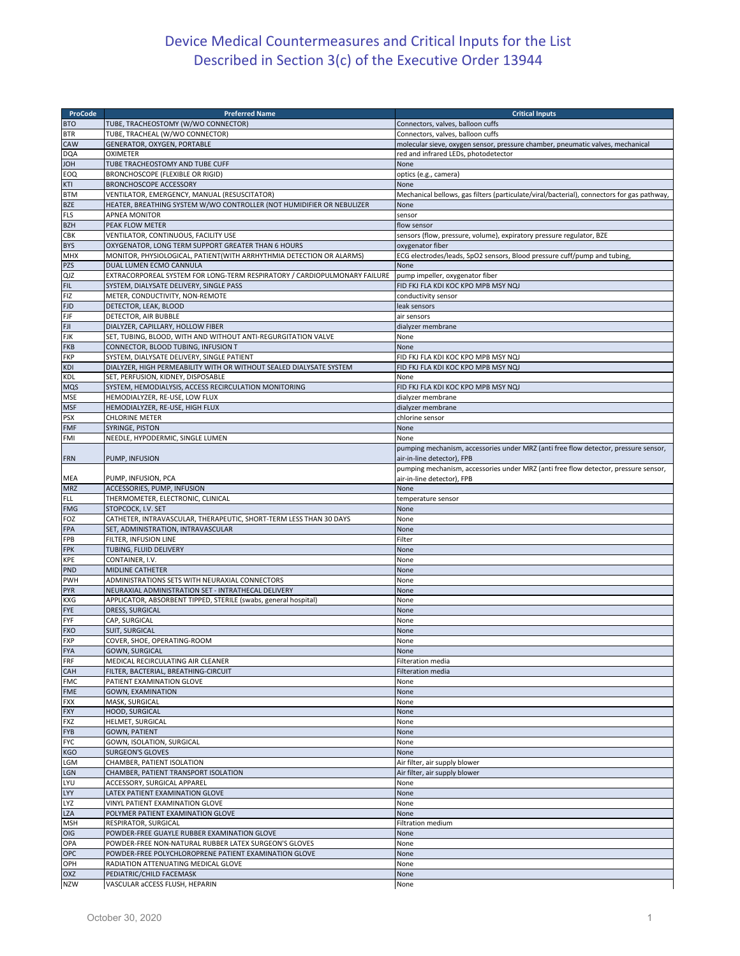## Device Medical Countermeasures and Critical Inputs for the List Described in Section 3(c) of the Executive Order 13944

| ProCode           | <b>Preferred Name</b>                                                     | <b>Critical Inputs</b>                                                                                            |
|-------------------|---------------------------------------------------------------------------|-------------------------------------------------------------------------------------------------------------------|
| <b>BTO</b>        | TUBE, TRACHEOSTOMY (W/WO CONNECTOR)                                       | Connectors, valves, balloon cuffs                                                                                 |
| <b>BTR</b>        | TUBE, TRACHEAL (W/WO CONNECTOR)                                           | Connectors, valves, balloon cuffs                                                                                 |
| CAW               | GENERATOR, OXYGEN, PORTABLE                                               | molecular sieve, oxygen sensor, pressure chamber, pneumatic valves, mechanical                                    |
| <b>DQA</b>        | <b>OXIMETER</b>                                                           | red and infrared LEDs, photodetector                                                                              |
| HOL               | TUBE TRACHEOSTOMY AND TUBE CUFF                                           | None                                                                                                              |
| EOQ               | <b>BRONCHOSCOPE (FLEXIBLE OR RIGID)</b>                                   | optics (e.g., camera)                                                                                             |
| KTI               | <b>BRONCHOSCOPE ACCESSORY</b>                                             | None                                                                                                              |
| <b>BTM</b>        | VENTILATOR, EMERGENCY, MANUAL (RESUSCITATOR)                              | Mechanical bellows, gas filters (particulate/viral/bacterial), connectors for gas pathway,                        |
| <b>BZE</b>        | HEATER, BREATHING SYSTEM W/WO CONTROLLER (NOT HUMIDIFIER OR NEBULIZER     | None                                                                                                              |
| <b>FLS</b>        | <b>APNEA MONITOR</b>                                                      | sensor                                                                                                            |
| <b>BZH</b>        | PEAK FLOW METER                                                           | flow sensor                                                                                                       |
| CBK               | VENTILATOR, CONTINUOUS, FACILITY USE                                      | sensors (flow, pressure, volume), expiratory pressure regulator, BZE                                              |
| <b>BYS</b>        | OXYGENATOR, LONG TERM SUPPORT GREATER THAN 6 HOURS                        | oxygenator fiber                                                                                                  |
| MHX               | MONITOR, PHYSIOLOGICAL, PATIENT(WITH ARRHYTHMIA DETECTION OR ALARMS)      | ECG electrodes/leads, SpO2 sensors, Blood pressure cuff/pump and tubing,                                          |
| <b>PZS</b>        | DUAL LUMEN ECMO CANNULA                                                   | None                                                                                                              |
| QJZ               | EXTRACORPOREAL SYSTEM FOR LONG-TERM RESPIRATORY / CARDIOPULMONARY FAILURE | pump impeller, oxygenator fiber                                                                                   |
| <b>FIL</b>        | SYSTEM, DIALYSATE DELIVERY, SINGLE PASS                                   | FID FKJ FLA KDI KOC KPO MPB MSY NQJ                                                                               |
| FIZ               | METER, CONDUCTIVITY, NON-REMOTE                                           | conductivity sensor                                                                                               |
| <b>FJD</b>        | DETECTOR, LEAK, BLOOD                                                     | leak sensors                                                                                                      |
| FJF               | DETECTOR, AIR BUBBLE                                                      | air sensors                                                                                                       |
| FJI               | DIALYZER, CAPILLARY, HOLLOW FIBER                                         | dialyzer membrane                                                                                                 |
| <b>FJK</b>        | SET, TUBING, BLOOD, WITH AND WITHOUT ANTI-REGURGITATION VALVE             | None                                                                                                              |
| <b>FKB</b>        | CONNECTOR, BLOOD TUBING, INFUSION T                                       | None                                                                                                              |
| <b>FKP</b>        | SYSTEM, DIALYSATE DELIVERY, SINGLE PATIENT                                | FID FKJ FLA KDI KOC KPO MPB MSY NQJ                                                                               |
| KDI               | DIALYZER, HIGH PERMEABILITY WITH OR WITHOUT SEALED DIALYSATE SYSTEM       | FID FKJ FLA KDI KOC KPO MPB MSY NQJ                                                                               |
| KDL               | SET, PERFUSION, KIDNEY, DISPOSABLE                                        | None                                                                                                              |
| <b>MQS</b>        | SYSTEM, HEMODIALYSIS, ACCESS RECIRCULATION MONITORING                     | FID FKJ FLA KDI KOC KPO MPB MSY NQJ                                                                               |
| MSE               | HEMODIALYZER, RE-USE, LOW FLUX                                            | dialyzer membrane                                                                                                 |
| <b>MSF</b>        | HEMODIALYZER, RE-USE, HIGH FLUX                                           | dialyzer membrane                                                                                                 |
| <b>PSX</b>        | <b>CHLORINE METER</b>                                                     | chlorine sensor                                                                                                   |
| <b>FMF</b>        | SYRINGE, PISTON<br>NEEDLE, HYPODERMIC, SINGLE LUMEN                       | None                                                                                                              |
| FMI               |                                                                           | None                                                                                                              |
| <b>FRN</b>        | PUMP, INFUSION                                                            | pumping mechanism, accessories under MRZ (anti free flow detector, pressure sensor,<br>air-in-line detector), FPB |
|                   |                                                                           |                                                                                                                   |
|                   |                                                                           | pumping mechanism, accessories under MRZ (anti free flow detector, pressure sensor,                               |
| MEA<br><b>MRZ</b> | PUMP, INFUSION, PCA<br>ACCESSORIES, PUMP, INFUSION                        | air-in-line detector), FPB<br>None                                                                                |
| <b>FLL</b>        | THERMOMETER, ELECTRONIC, CLINICAL                                         | temperature sensor                                                                                                |
| <b>FMG</b>        | STOPCOCK, I.V. SET                                                        | None                                                                                                              |
| FOZ               | CATHETER, INTRAVASCULAR, THERAPEUTIC, SHORT-TERM LESS THAN 30 DAYS        | None                                                                                                              |
| FPA               | SET, ADMINISTRATION, INTRAVASCULAR                                        | None                                                                                                              |
| FPB               | FILTER, INFUSION LINE                                                     | Filter                                                                                                            |
| <b>FPK</b>        | TUBING, FLUID DELIVERY                                                    | None                                                                                                              |
| KPE               | CONTAINER, I.V.                                                           | None                                                                                                              |
| PND               | MIDLINE CATHETER                                                          | None                                                                                                              |
| <b>PWH</b>        | ADMINISTRATIONS SETS WITH NEURAXIAL CONNECTORS                            | None                                                                                                              |
| <b>PYR</b>        | NEURAXIAL ADMINISTRATION SET - INTRATHECAL DELIVERY                       | None                                                                                                              |
| KXG               | APPLICATOR, ABSORBENT TIPPED, STERILE (swabs, general hospital)           | None                                                                                                              |
| <b>FYE</b>        | <b>DRESS, SURGICAL</b>                                                    | None                                                                                                              |
| FYF               | CAP, SURGICAL                                                             | None                                                                                                              |
| <b>FXO</b>        | <b>SUIT, SURGICAL</b>                                                     | None                                                                                                              |
| <b>FXP</b>        | COVER, SHOE, OPERATING-ROOM                                               | None                                                                                                              |
| <b>FYA</b>        | <b>GOWN, SURGICAL</b>                                                     | <b>None</b>                                                                                                       |
| FRF               | MEDICAL RECIRCULATING AIR CLEANER                                         | Filteration media                                                                                                 |
| CAH               | FILTER, BACTERIAL, BREATHING-CIRCUIT                                      | Filteration media                                                                                                 |
| <b>FMC</b>        | PATIENT EXAMINATION GLOVE                                                 | None                                                                                                              |
| <b>FME</b>        | <b>GOWN, EXAMINATION</b>                                                  | None                                                                                                              |
| <b>FXX</b>        | MASK, SURGICAL                                                            | None                                                                                                              |
| <b>FXY</b>        | HOOD, SURGICAL                                                            | None                                                                                                              |
| <b>FXZ</b>        | HELMET, SURGICAL                                                          | None                                                                                                              |
| <b>FYB</b>        | <b>GOWN, PATIENT</b>                                                      | None                                                                                                              |
| <b>FYC</b>        | GOWN, ISOLATION, SURGICAL                                                 | None                                                                                                              |
| KGO               | <b>SURGEON'S GLOVES</b>                                                   | None                                                                                                              |
| LGM               | CHAMBER, PATIENT ISOLATION                                                | Air filter, air supply blower                                                                                     |
| LGN               | CHAMBER, PATIENT TRANSPORT ISOLATION                                      | Air filter, air supply blower                                                                                     |
| LYU               | ACCESSORY, SURGICAL APPAREL                                               | None                                                                                                              |
| LYY               | LATEX PATIENT EXAMINATION GLOVE                                           | None                                                                                                              |
| LYZ               | VINYL PATIENT EXAMINATION GLOVE                                           | None                                                                                                              |
| <b>LZA</b>        | POLYMER PATIENT EXAMINATION GLOVE                                         | None                                                                                                              |
| <b>MSH</b>        | RESPIRATOR, SURGICAL                                                      | Filtration medium                                                                                                 |
| OIG               | POWDER-FREE GUAYLE RUBBER EXAMINATION GLOVE                               | None                                                                                                              |
| OPA               | POWDER-FREE NON-NATURAL RUBBER LATEX SURGEON'S GLOVES                     | None                                                                                                              |
| OPC               | POWDER-FREE POLYCHLOROPRENE PATIENT EXAMINATION GLOVE                     | None                                                                                                              |
| OPH               | RADIATION ATTENUATING MEDICAL GLOVE                                       | None                                                                                                              |
| OXZ               | PEDIATRIC/CHILD FACEMASK                                                  | None                                                                                                              |
| <b>NZW</b>        | VASCULAR aCCESS FLUSH, HEPARIN                                            | None                                                                                                              |